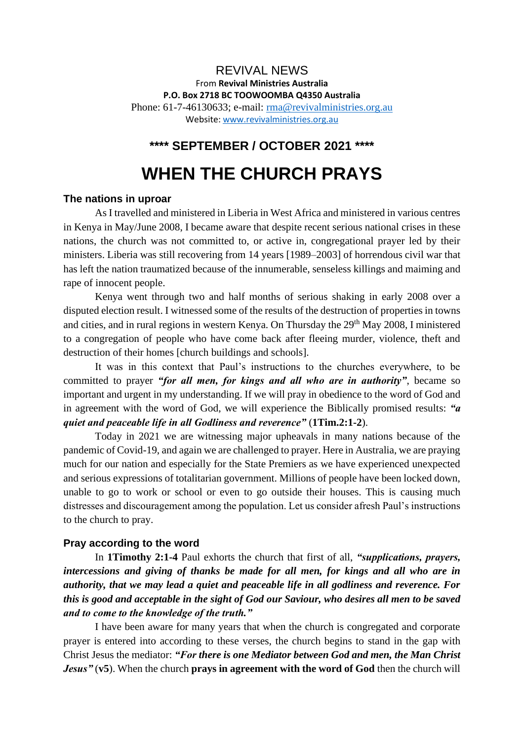## REVIVAL NEWS From **Revival Ministries Australia P.O. Box 2718 BC TOOWOOMBA Q4350 Australia** Phone: 61-7-46130633; e-mail: [rma@revivalministries.org.au](mailto:rma@revivalministries.org.au) Website: [www.revivalministries.org.au](https://apac01.safelinks.protection.outlook.com/?url=http%3A%2F%2Fwww.revivalministries.org.au%2F&data=04%7C01%7C%7Cbed9cf04b84d4329476808d98d08d616%7C84df9e7fe9f640afb435aaaaaaaaaaaa%7C1%7C0%7C637695891375791148%7CUnknown%7CTWFpbGZsb3d8eyJWIjoiMC4wLjAwMDAiLCJQIjoiV2luMzIiLCJBTiI6Ik1haWwiLCJXVCI6Mn0%3D%7C1000&sdata=JPqyTNq3jxpzH49eN1l2uepNuRwoa%2BWerDbsH8LzXT4%3D&reserved=0)

## **\*\*\*\* SEPTEMBER / OCTOBER 2021 \*\*\*\***

# **WHEN THE CHURCH PRAYS**

#### **The nations in uproar**

As I travelled and ministered in Liberia in West Africa and ministered in various centres in Kenya in May/June 2008, I became aware that despite recent serious national crises in these nations, the church was not committed to, or active in, congregational prayer led by their ministers. Liberia was still recovering from 14 years [1989–2003] of horrendous civil war that has left the nation traumatized because of the innumerable, senseless killings and maiming and rape of innocent people.

Kenya went through two and half months of serious shaking in early 2008 over a disputed election result. I witnessed some of the results of the destruction of properties in towns and cities, and in rural regions in western Kenya. On Thursday the 29<sup>th</sup> May 2008, I ministered to a congregation of people who have come back after fleeing murder, violence, theft and destruction of their homes [church buildings and schools].

It was in this context that Paul's instructions to the churches everywhere, to be committed to prayer *"for all men, for kings and all who are in authority"*, became so important and urgent in my understanding. If we will pray in obedience to the word of God and in agreement with the word of God, we will experience the Biblically promised results: *"a quiet and peaceable life in all Godliness and reverence"* (**1Tim.2:1-2**).

Today in 2021 we are witnessing major upheavals in many nations because of the pandemic of Covid-19, and again we are challenged to prayer. Here in Australia, we are praying much for our nation and especially for the State Premiers as we have experienced unexpected and serious expressions of totalitarian government. Millions of people have been locked down, unable to go to work or school or even to go outside their houses. This is causing much distresses and discouragement among the population. Let us consider afresh Paul's instructions to the church to pray.

#### **Pray according to the word**

In **1Timothy 2:1-4** Paul exhorts the church that first of all, *"supplications, prayers, intercessions and giving of thanks be made for all men, for kings and all who are in authority, that we may lead a quiet and peaceable life in all godliness and reverence. For this is good and acceptable in the sight of God our Saviour, who desires all men to be saved and to come to the knowledge of the truth."* 

I have been aware for many years that when the church is congregated and corporate prayer is entered into according to these verses, the church begins to stand in the gap with Christ Jesus the mediator: *"For there is one Mediator between God and men, the Man Christ Jesus"* (**v5**). When the church **prays in agreement with the word of God** then the church will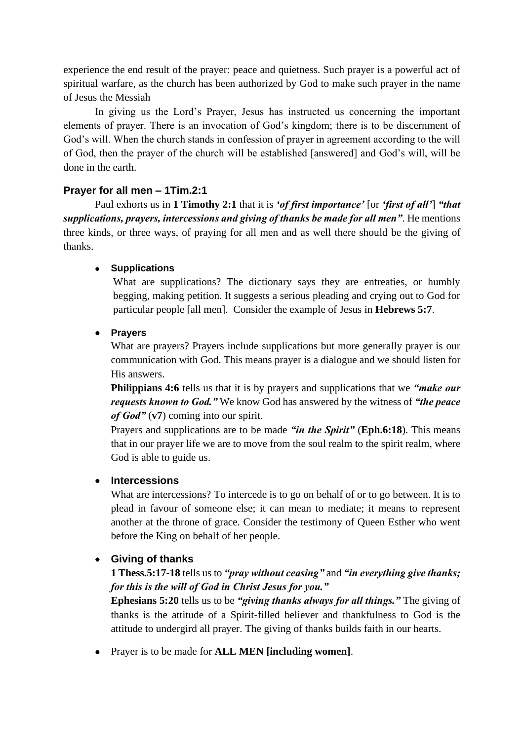experience the end result of the prayer: peace and quietness. Such prayer is a powerful act of spiritual warfare, as the church has been authorized by God to make such prayer in the name of Jesus the Messiah

In giving us the Lord's Prayer, Jesus has instructed us concerning the important elements of prayer. There is an invocation of God's kingdom; there is to be discernment of God's will. When the church stands in confession of prayer in agreement according to the will of God, then the prayer of the church will be established [answered] and God's will, will be done in the earth.

## **Prayer for all men – 1Tim.2:1**

Paul exhorts us in **1 Timothy 2:1** that it is *'of first importance'* [or *'first of all'*] *"that supplications, prayers, intercessions and giving of thanks be made for all men"*. He mentions three kinds, or three ways, of praying for all men and as well there should be the giving of thanks.

## • **Supplications**

What are supplications? The dictionary says they are entreaties, or humbly begging, making petition. It suggests a serious pleading and crying out to God for particular people [all men]. Consider the example of Jesus in **Hebrews 5:7**.

## • **Prayers**

What are prayers? Prayers include supplications but more generally prayer is our communication with God. This means prayer is a dialogue and we should listen for His answers.

**Philippians 4:6** tells us that it is by prayers and supplications that we *"make our requests known to God."* We know God has answered by the witness of *"the peace of God"* (**v7**) coming into our spirit.

Prayers and supplications are to be made *"in the Spirit"* (**Eph.6:18**). This means that in our prayer life we are to move from the soul realm to the spirit realm, where God is able to guide us.

## • **Intercessions**

What are intercessions? To intercede is to go on behalf of or to go between. It is to plead in favour of someone else; it can mean to mediate; it means to represent another at the throne of grace. Consider the testimony of Queen Esther who went before the King on behalf of her people.

## • **Giving of thanks**

## **1 Thess.5:17-18** tells us to *"pray without ceasing"* and *"in everything give thanks; for this is the will of God in Christ Jesus for you."*

**Ephesians 5:20** tells us to be *"giving thanks always for all things."* The giving of thanks is the attitude of a Spirit-filled believer and thankfulness to God is the attitude to undergird all prayer. The giving of thanks builds faith in our hearts.

• Prayer is to be made for **ALL MEN [including women]**.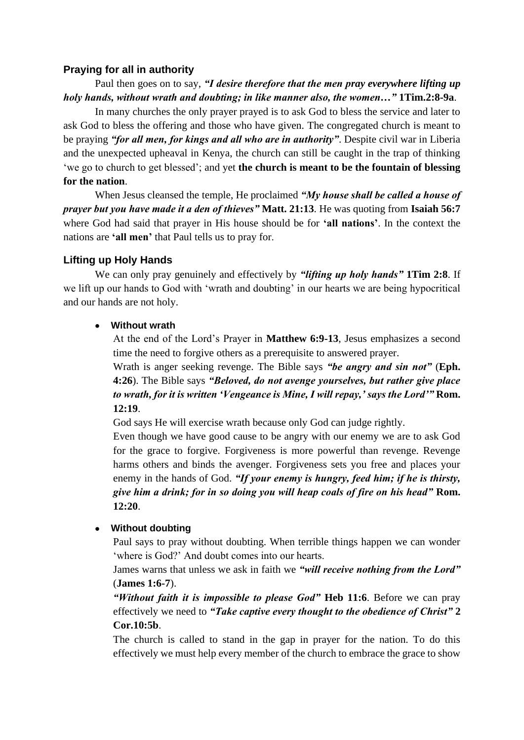## **Praying for all in authority**

## Paul then goes on to say, *"I desire therefore that the men pray everywhere lifting up holy hands, without wrath and doubting; in like manner also, the women…"* **1Tim.2:8-9a**.

In many churches the only prayer prayed is to ask God to bless the service and later to ask God to bless the offering and those who have given. The congregated church is meant to be praying *"for all men, for kings and all who are in authority"*. Despite civil war in Liberia and the unexpected upheaval in Kenya, the church can still be caught in the trap of thinking 'we go to church to get blessed'; and yet **the church is meant to be the fountain of blessing for the nation**.

When Jesus cleansed the temple, He proclaimed *"My house shall be called a house of prayer but you have made it a den of thieves"* **Matt. 21:13**. He was quoting from **Isaiah 56:7** where God had said that prayer in His house should be for **'all nations'**. In the context the nations are **'all men'** that Paul tells us to pray for.

## **Lifting up Holy Hands**

We can only pray genuinely and effectively by *"lifting up holy hands"* **1Tim 2:8**. If we lift up our hands to God with 'wrath and doubting' in our hearts we are being hypocritical and our hands are not holy.

## • **Without wrath**

At the end of the Lord's Prayer in **Matthew 6:9-13**, Jesus emphasizes a second time the need to forgive others as a prerequisite to answered prayer.

Wrath is anger seeking revenge. The Bible says *"be angry and sin not"* (**Eph. 4:26**). The Bible says *"Beloved, do not avenge yourselves, but rather give place to wrath, for it is written 'Vengeance is Mine, I will repay,' says the Lord'"* **Rom. 12:19**.

God says He will exercise wrath because only God can judge rightly.

Even though we have good cause to be angry with our enemy we are to ask God for the grace to forgive. Forgiveness is more powerful than revenge. Revenge harms others and binds the avenger. Forgiveness sets you free and places your enemy in the hands of God. *"If your enemy is hungry, feed him; if he is thirsty, give him a drink; for in so doing you will heap coals of fire on his head"* **Rom. 12:20**.

## • **Without doubting**

Paul says to pray without doubting. When terrible things happen we can wonder 'where is God?' And doubt comes into our hearts.

James warns that unless we ask in faith we *"will receive nothing from the Lord"* (**James 1:6-7**).

*"Without faith it is impossible to please God"* **Heb 11:6**. Before we can pray effectively we need to *"Take captive every thought to the obedience of Christ"* **2 Cor.10:5b**.

The church is called to stand in the gap in prayer for the nation. To do this effectively we must help every member of the church to embrace the grace to show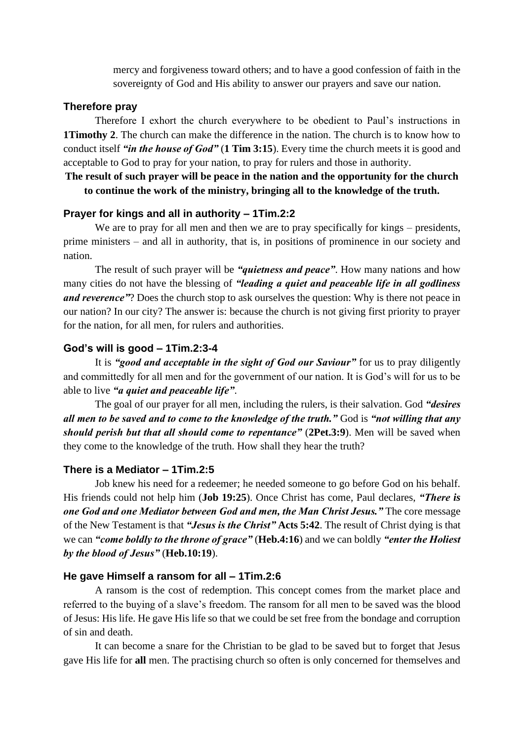mercy and forgiveness toward others; and to have a good confession of faith in the sovereignty of God and His ability to answer our prayers and save our nation.

#### **Therefore pray**

Therefore I exhort the church everywhere to be obedient to Paul's instructions in **1Timothy 2**. The church can make the difference in the nation. The church is to know how to conduct itself *"in the house of God"* (**1 Tim 3:15**). Every time the church meets it is good and acceptable to God to pray for your nation, to pray for rulers and those in authority.

### **The result of such prayer will be peace in the nation and the opportunity for the church to continue the work of the ministry, bringing all to the knowledge of the truth.**

#### **Prayer for kings and all in authority – 1Tim.2:2**

We are to pray for all men and then we are to pray specifically for kings – presidents, prime ministers – and all in authority, that is, in positions of prominence in our society and nation.

The result of such prayer will be *"quietness and peace"*. How many nations and how many cities do not have the blessing of *"leading a quiet and peaceable life in all godliness and reverence*"? Does the church stop to ask ourselves the question: Why is there not peace in our nation? In our city? The answer is: because the church is not giving first priority to prayer for the nation, for all men, for rulers and authorities.

#### **God's will is good – 1Tim.2:3-4**

It is *"good and acceptable in the sight of God our Saviour"* for us to pray diligently and committedly for all men and for the government of our nation. It is God's will for us to be able to live *"a quiet and peaceable life"*.

The goal of our prayer for all men, including the rulers, is their salvation. God *"desires all men to be saved and to come to the knowledge of the truth."* God is *"not willing that any should perish but that all should come to repentance"* (**2Pet.3:9**). Men will be saved when they come to the knowledge of the truth. How shall they hear the truth?

#### **There is a Mediator – 1Tim.2:5**

Job knew his need for a redeemer; he needed someone to go before God on his behalf. His friends could not help him (**Job 19:25**). Once Christ has come, Paul declares, *"There is one God and one Mediator between God and men, the Man Christ Jesus."* The core message of the New Testament is that *"Jesus is the Christ"* **Acts 5:42**. The result of Christ dying is that we can *"come boldly to the throne of grace"* (**Heb.4:16**) and we can boldly *"enter the Holiest by the blood of Jesus"* (**Heb.10:19**).

#### **He gave Himself a ransom for all – 1Tim.2:6**

A ransom is the cost of redemption. This concept comes from the market place and referred to the buying of a slave's freedom. The ransom for all men to be saved was the blood of Jesus: His life. He gave His life so that we could be set free from the bondage and corruption of sin and death.

It can become a snare for the Christian to be glad to be saved but to forget that Jesus gave His life for **all** men. The practising church so often is only concerned for themselves and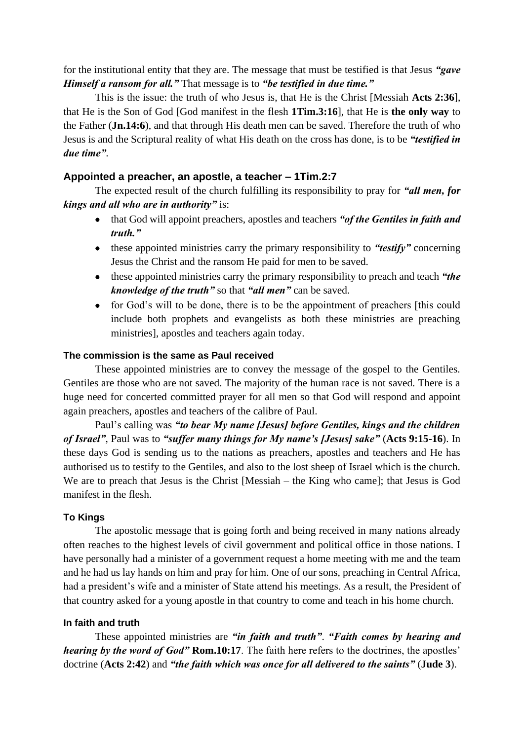for the institutional entity that they are. The message that must be testified is that Jesus *"gave Himself a ransom for all."* That message is to *"be testified in due time."*

This is the issue: the truth of who Jesus is, that He is the Christ [Messiah **Acts 2:36**], that He is the Son of God [God manifest in the flesh **1Tim.3:16**], that He is **the only way** to the Father (**Jn.14:6**), and that through His death men can be saved. Therefore the truth of who Jesus is and the Scriptural reality of what His death on the cross has done, is to be *"testified in due time"*.

### **Appointed a preacher, an apostle, a teacher – 1Tim.2:7**

The expected result of the church fulfilling its responsibility to pray for *"all men, for kings and all who are in authority"* is:

- that God will appoint preachers, apostles and teachers *"of the Gentiles in faith and truth."*
- these appointed ministries carry the primary responsibility to *"testify"* concerning Jesus the Christ and the ransom He paid for men to be saved.
- these appointed ministries carry the primary responsibility to preach and teach *"the knowledge of the truth"* so that *"all men"* can be saved.
- for God's will to be done, there is to be the appointment of preachers [this could include both prophets and evangelists as both these ministries are preaching ministries], apostles and teachers again today.

## **The commission is the same as Paul received**

These appointed ministries are to convey the message of the gospel to the Gentiles. Gentiles are those who are not saved. The majority of the human race is not saved. There is a huge need for concerted committed prayer for all men so that God will respond and appoint again preachers, apostles and teachers of the calibre of Paul.

Paul's calling was *"to bear My name [Jesus] before Gentiles, kings and the children of Israel"*, Paul was to *"suffer many things for My name's [Jesus] sake"* (**Acts 9:15-16**). In these days God is sending us to the nations as preachers, apostles and teachers and He has authorised us to testify to the Gentiles, and also to the lost sheep of Israel which is the church. We are to preach that Jesus is the Christ [Messiah – the King who came]; that Jesus is God manifest in the flesh.

#### **To Kings**

The apostolic message that is going forth and being received in many nations already often reaches to the highest levels of civil government and political office in those nations. I have personally had a minister of a government request a home meeting with me and the team and he had us lay hands on him and pray for him. One of our sons, preaching in Central Africa, had a president's wife and a minister of State attend his meetings. As a result, the President of that country asked for a young apostle in that country to come and teach in his home church.

#### **In faith and truth**

These appointed ministries are *"in faith and truth"*. *"Faith comes by hearing and hearing by the word of God"* **Rom.10:17**. The faith here refers to the doctrines, the apostles' doctrine (**Acts 2:42**) and *"the faith which was once for all delivered to the saints"* (**Jude 3**).